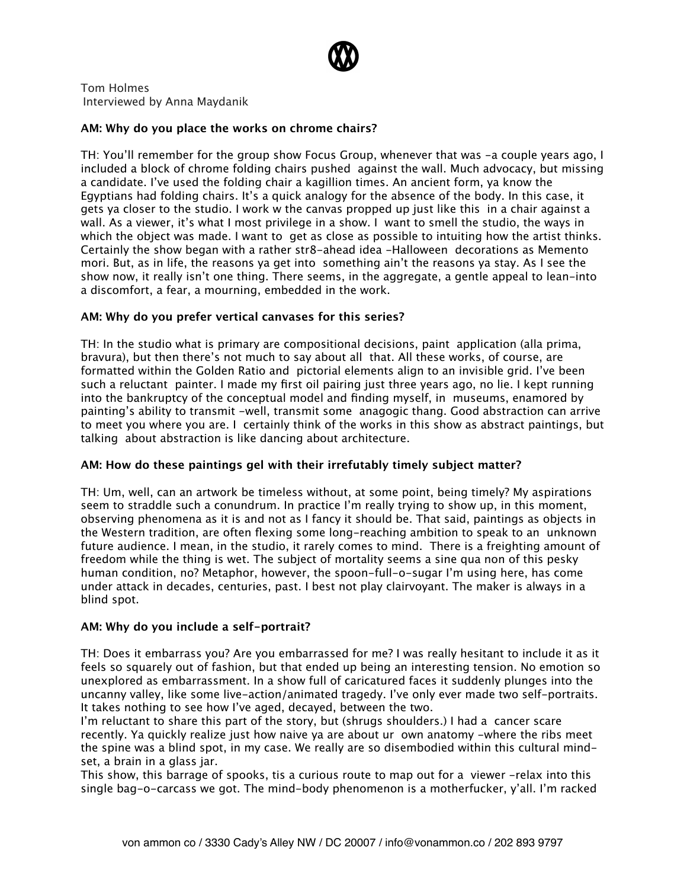

Tom Holmes Interviewed by Anna Maydanik

## **AM: Why do you place the works on chrome chairs?**

TH: You'll remember for the group show Focus Group, whenever that was -a couple years ago, I included a block of chrome folding chairs pushed against the wall. Much advocacy, but missing a candidate. I've used the folding chair a kagillion times. An ancient form, ya know the Egyptians had folding chairs. It's a quick analogy for the absence of the body. In this case, it gets ya closer to the studio. I work w the canvas propped up just like this in a chair against a wall. As a viewer, it's what I most privilege in a show. I want to smell the studio, the ways in which the object was made. I want to get as close as possible to intuiting how the artist thinks. Certainly the show began with a rather str8-ahead idea -Halloween decorations as Memento mori. But, as in life, the reasons ya get into something ain't the reasons ya stay. As I see the show now, it really isn't one thing. There seems, in the aggregate, a gentle appeal to lean-into a discomfort, a fear, a mourning, embedded in the work.

## **AM: Why do you prefer vertical canvases for this series?**

TH: In the studio what is primary are compositional decisions, paint application (alla prima, bravura), but then there's not much to say about all that. All these works, of course, are formatted within the Golden Ratio and pictorial elements align to an invisible grid. I've been such a reluctant painter. I made my first oil pairing just three years ago, no lie. I kept running into the bankruptcy of the conceptual model and finding myself, in museums, enamored by painting's ability to transmit -well, transmit some anagogic thang. Good abstraction can arrive to meet you where you are. I certainly think of the works in this show as abstract paintings, but talking about abstraction is like dancing about architecture.

# **AM: How do these paintings gel with their irrefutably timely subject matter?**

TH: Um, well, can an artwork be timeless without, at some point, being timely? My aspirations seem to straddle such a conundrum. In practice I'm really trying to show up, in this moment, observing phenomena as it is and not as I fancy it should be. That said, paintings as objects in the Western tradition, are often flexing some long-reaching ambition to speak to an unknown future audience. I mean, in the studio, it rarely comes to mind. There is a freighting amount of freedom while the thing is wet. The subject of mortality seems a sine qua non of this pesky human condition, no? Metaphor, however, the spoon-full-o-sugar I'm using here, has come under attack in decades, centuries, past. I best not play clairvoyant. The maker is always in a blind spot.

# **AM: Why do you include a self-portrait?**

TH: Does it embarrass you? Are you embarrassed for me? I was really hesitant to include it as it feels so squarely out of fashion, but that ended up being an interesting tension. No emotion so unexplored as embarrassment. In a show full of caricatured faces it suddenly plunges into the uncanny valley, like some live-action/animated tragedy. I've only ever made two self-portraits. It takes nothing to see how I've aged, decayed, between the two.

I'm reluctant to share this part of the story, but (shrugs shoulders.) I had a cancer scare recently. Ya quickly realize just how naive ya are about ur own anatomy -where the ribs meet the spine was a blind spot, in my case. We really are so disembodied within this cultural mindset, a brain in a glass jar.

This show, this barrage of spooks, tis a curious route to map out for a viewer -relax into this single bag-o-carcass we got. The mind-body phenomenon is a motherfucker, y'all. I'm racked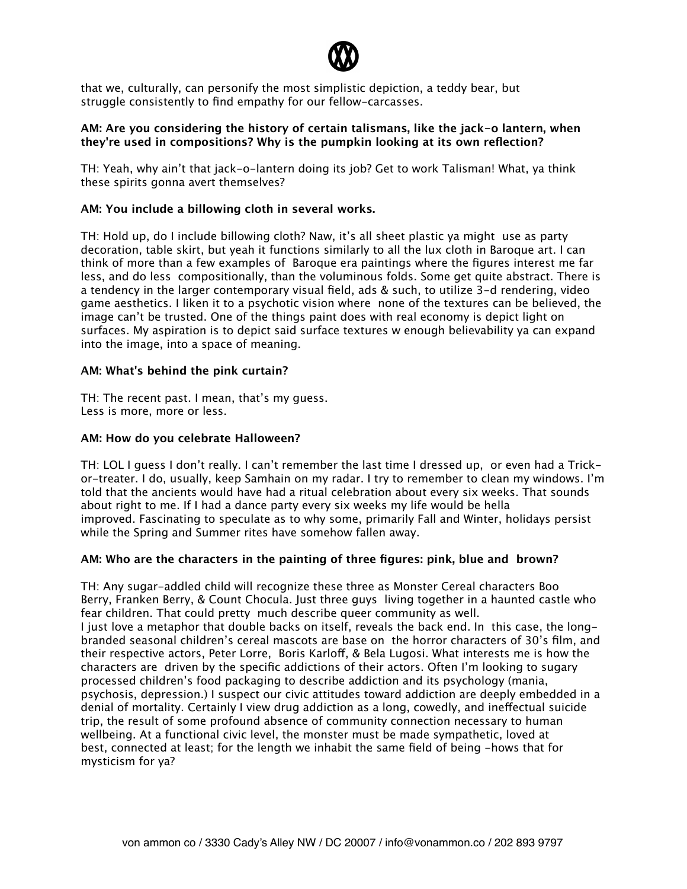

that we, culturally, can personify the most simplistic depiction, a teddy bear, but struggle consistently to find empathy for our fellow-carcasses.

## **AM: Are you considering the history of certain talismans, like the jack-o lantern, when they're used in compositions? Why is the pumpkin looking at its own reflection?**

TH: Yeah, why ain't that jack-o-lantern doing its job? Get to work Talisman! What, ya think these spirits gonna avert themselves?

# **AM: You include a billowing cloth in several works.**

TH: Hold up, do I include billowing cloth? Naw, it's all sheet plastic ya might use as party decoration, table skirt, but yeah it functions similarly to all the lux cloth in Baroque art. I can think of more than a few examples of Baroque era paintings where the figures interest me far less, and do less compositionally, than the voluminous folds. Some get quite abstract. There is a tendency in the larger contemporary visual field, ads & such, to utilize 3-d rendering, video game aesthetics. I liken it to a psychotic vision where none of the textures can be believed, the image can't be trusted. One of the things paint does with real economy is depict light on surfaces. My aspiration is to depict said surface textures w enough believability ya can expand into the image, into a space of meaning.

## **AM: What's behind the pink curtain?**

TH: The recent past. I mean, that's my guess. Less is more, more or less.

## **AM: How do you celebrate Halloween?**

TH: LOL I guess I don't really. I can't remember the last time I dressed up, or even had a Trickor-treater. I do, usually, keep Samhain on my radar. I try to remember to clean my windows. I'm told that the ancients would have had a ritual celebration about every six weeks. That sounds about right to me. If I had a dance party every six weeks my life would be hella improved. Fascinating to speculate as to why some, primarily Fall and Winter, holidays persist while the Spring and Summer rites have somehow fallen away.

# **AM: Who are the characters in the painting of three figures: pink, blue and brown?**

TH: Any sugar-addled child will recognize these three as Monster Cereal characters Boo Berry, Franken Berry, & Count Chocula. Just three guys living together in a haunted castle who fear children. That could pretty much describe queer community as well. I just love a metaphor that double backs on itself, reveals the back end. In this case, the longbranded seasonal children's cereal mascots are base on the horror characters of 30's film, and their respective actors, Peter Lorre, Boris Karloff, & Bela Lugosi. What interests me is how the characters are driven by the specific addictions of their actors. Often I'm looking to sugary processed children's food packaging to describe addiction and its psychology (mania, psychosis, depression.) I suspect our civic attitudes toward addiction are deeply embedded in a denial of mortality. Certainly I view drug addiction as a long, cowedly, and inefectual suicide trip, the result of some profound absence of community connection necessary to human wellbeing. At a functional civic level, the monster must be made sympathetic, loved at best, connected at least; for the length we inhabit the same field of being -hows that for mysticism for ya?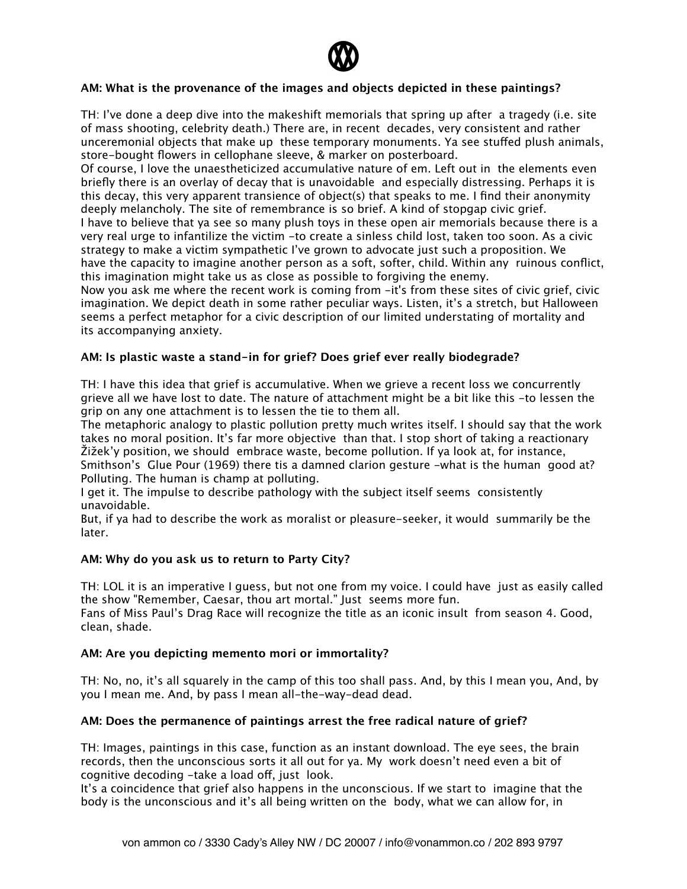

# **AM: What is the provenance of the images and objects depicted in these paintings?**

TH: I've done a deep dive into the makeshift memorials that spring up after a tragedy (i.e. site of mass shooting, celebrity death.) There are, in recent decades, very consistent and rather unceremonial objects that make up these temporary monuments. Ya see stufed plush animals, store-bought flowers in cellophane sleeve, & marker on posterboard.

Of course, I love the unaestheticized accumulative nature of em. Left out in the elements even briefly there is an overlay of decay that is unavoidable and especially distressing. Perhaps it is this decay, this very apparent transience of object(s) that speaks to me. I find their anonymity deeply melancholy. The site of remembrance is so brief. A kind of stopgap civic grief. I have to believe that ya see so many plush toys in these open air memorials because there is a very real urge to infantilize the victim -to create a sinless child lost, taken too soon. As a civic strategy to make a victim sympathetic I've grown to advocate just such a proposition. We have the capacity to imagine another person as a soft, softer, child. Within any ruinous conflict, this imagination might take us as close as possible to forgiving the enemy.

Now you ask me where the recent work is coming from -it's from these sites of civic grief, civic imagination. We depict death in some rather peculiar ways. Listen, it's a stretch, but Halloween seems a perfect metaphor for a civic description of our limited understating of mortality and its accompanying anxiety.

## **AM: Is plastic waste a stand-in for grief? Does grief ever really biodegrade?**

TH: I have this idea that grief is accumulative. When we grieve a recent loss we concurrently grieve all we have lost to date. The nature of attachment might be a bit like this -to lessen the grip on any one attachment is to lessen the tie to them all.

The metaphoric analogy to plastic pollution pretty much writes itself. I should say that the work takes no moral position. It's far more objective than that. I stop short of taking a reactionary Žižek'y position, we should embrace waste, become pollution. If ya look at, for instance, Smithson's Glue Pour (1969) there tis a damned clarion gesture -what is the human good at? Polluting. The human is champ at polluting.

I get it. The impulse to describe pathology with the subject itself seems consistently unavoidable.

But, if ya had to describe the work as moralist or pleasure-seeker, it would summarily be the later.

#### **AM: Why do you ask us to return to Party City?**

TH: LOL it is an imperative I guess, but not one from my voice. I could have just as easily called the show "Remember, Caesar, thou art mortal." Just seems more fun. Fans of Miss Paul's Drag Race will recognize the title as an iconic insult from season 4. Good,

clean, shade.

#### **AM: Are you depicting memento mori or immortality?**

TH: No, no, it's all squarely in the camp of this too shall pass. And, by this I mean you, And, by you I mean me. And, by pass I mean all-the-way-dead dead.

#### **AM: Does the permanence of paintings arrest the free radical nature of grief?**

TH: Images, paintings in this case, function as an instant download. The eye sees, the brain records, then the unconscious sorts it all out for ya. My work doesn't need even a bit of cognitive decoding -take a load off, just look.

It's a coincidence that grief also happens in the unconscious. If we start to imagine that the body is the unconscious and it's all being written on the body, what we can allow for, in